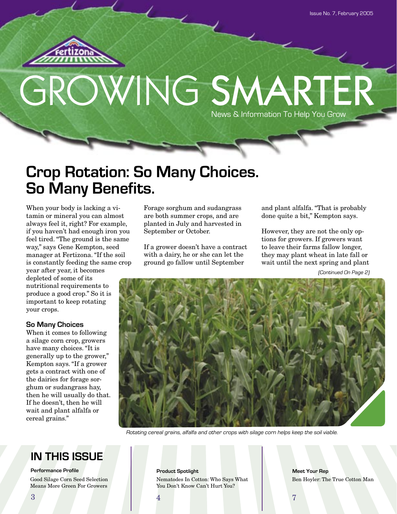

# GROWING SMARTER News & Information To Help You Grow

# **Crop Rotation: So Many Choices. So Many Benefits.**

When your body is lacking a vitamin or mineral you can almost always feel it, right? For example, if you haven't had enough iron you feel tired. "The ground is the same way," says Gene Kempton, seed manager at Fertizona. "If the soil is constantly feeding the same crop

year after year, it becomes depleted of some of its nutritional requirements to produce a good crop." So it is important to keep rotating your crops.

### **So Many Choices**

When it comes to following a silage corn crop, growers have many choices. "It is generally up to the grower," Kempton says. "If a grower gets a contract with one of the dairies for forage sorghum or sudangrass hay, then he will usually do that. If he doesn't, then he will wait and plant alfalfa or cereal grains."

Forage sorghum and sudangrass are both summer crops, and are planted in July and harvested in September or October.

If a grower doesn't have a contract with a dairy, he or she can let the ground go fallow until September

and plant alfalfa. "That is probably done quite a bit," Kempton says.

However, they are not the only options for growers. If growers want to leave their farms fallow longer, they may plant wheat in late fall or wait until the next spring and plant

(Continued On Page 2)



Rotating cereal grains, alfalfa and other crops with silage corn helps keep the soil viable.

**IN THIS ISSUE**

**Performance Profile** Good Silage Corn Seed Selection Means More Green For Growers

**Product Spotlight Meet Your Rep** Nematodes In Cotton: Who Says What You Don't Know Can't Hurt You?

Ben Hoyler: The True Cotton Man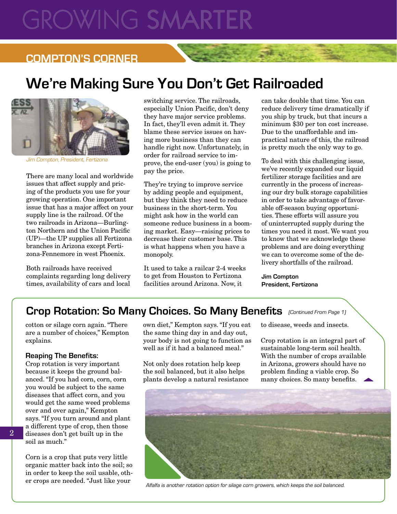# **GROWING SMARTE**

# **COMPTON'S CORNER**

# **We're Making Sure You Don't Get Railroaded**



Jim Compton, President, Fertizona

There are many local and worldwide issues that affect supply and pricing of the products you use for your growing operation. One important issue that has a major affect on your supply line is the railroad. Of the two railroads in Arizona—Burlington Northern and the Union Pacific (UP)—the UP supplies all Fertizona branches in Arizona except Fertizona-Fennemore in west Phoenix.

Both railroads have received complaints regarding long delivery times, availability of cars and local

switching service. The railroads, especially Union Pacific, don't deny they have major service problems. In fact, they'll even admit it. They blame these service issues on having more business than they can handle right now. Unfortunately, in order for railroad service to improve, the end-user (you) is going to pay the price.

They're trying to improve service by adding people and equipment, but they think they need to reduce business in the short-term. You might ask how in the world can someone reduce business in a booming market. Easy—raising prices to decrease their customer base. This is what happens when you have a monopoly.

It used to take a railcar 2-4 weeks to get from Houston to Fertizona facilities around Arizona. Now, it

can take double that time. You can reduce delivery time dramatically if you ship by truck, but that incurs a minimum \$30 per ton cost increase. Due to the unaffordable and impractical nature of this, the railroad is pretty much the only way to go.

To deal with this challenging issue, we've recently expanded our liquid fertilizer storage facilities and are currently in the process of increasing our dry bulk storage capabilities in order to take advantage of favorable off-season buying opportunities. These efforts will assure you of uninterrupted supply during the times you need it most. We want you to know that we acknowledge these problems and are doing everything we can to overcome some of the delivery shortfalls of the railroad.

**Jim Compton President, Fertizona**

# Crop Rotation: So Many Choices. So Many Benefits (Continued From Page 1)

cotton or silage corn again. "There are a number of choices," Kempton explains.

#### **Reaping The Benefits:**

Crop rotation is very important because it keeps the ground balanced. "If you had corn, corn, corn you would be subject to the same diseases that affect corn, and you would get the same weed problems over and over again," Kempton says. "If you turn around and plant a different type of crop, then those diseases don't get built up in the soil as much."

Corn is a crop that puts very little organic matter back into the soil; so in order to keep the soil usable, other crops are needed. "Just like your

own diet," Kempton says. "If you eat the same thing day in and day out, your body is not going to function as well as if it had a balanced meal."

Not only does rotation help keep the soil balanced, but it also helps plants develop a natural resistance to disease, weeds and insects.

Crop rotation is an integral part of sustainable long-term soil health. With the number of crops available in Arizona, growers should have no problem finding a viable crop. So many choices. So many benefits.  $\triangle$ 



Alfalfa is another rotation option for silage corn growers, which keeps the soil balanced.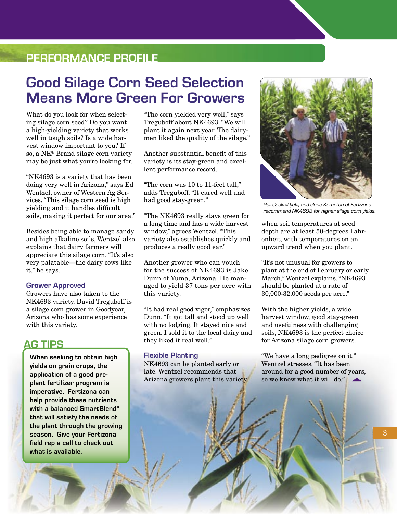# **PERFORMANCE PROFILE**

# **Good Silage Corn Seed Selection Means More Green For Growers**

What do you look for when selecting silage corn seed? Do you want a high-yielding variety that works well in tough soils? Is a wide harvest window important to you? If so, a NK® Brand silage corn variety may be just what you're looking for.

"NK4693 is a variety that has been doing very well in Arizona," says Ed Wentzel, owner of Western Ag Services. "This silage corn seed is high yielding and it handles difficult soils, making it perfect for our area."

Besides being able to manage sandy and high alkaline soils, Wentzel also explains that dairy farmers will appreciate this silage corn. "It's also very palatable—the dairy cows like it," he says.

#### **Grower Approved**

Growers have also taken to the NK4693 variety. David Treguboff is a silage corn grower in Goodyear, Arizona who has some experience with this variety.

## **AG TIPS**

**When seeking to obtain high yields on grain crops, the application of a good preplant fertilizer program is imperative. Fertizona can help provide these nutrients with a balanced SmartBlend® that will satisfy the needs of the plant through the growing season. Give your Fertizona field rep a call to check out what is available.**

"The corn yielded very well," says Treguboff about NK4693. "We will plant it again next year. The dairymen liked the quality of the silage."

Another substantial benefit of this variety is its stay-green and excellent performance record.

"The corn was 10 to 11-feet tall," adds Treguboff. "It eared well and had good stay-green."

"The NK4693 really stays green for a long time and has a wide harvest window," agrees Wentzel. "This variety also establishes quickly and produces a really good ear."

Another grower who can vouch for the success of NK4693 is Jake Dunn of Yuma, Arizona. He managed to yield 37 tons per acre with this variety.

"It had real good vigor," emphasizes Dunn. "It got tall and stood up well with no lodging. It stayed nice and green. I sold it to the local dairy and they liked it real well."

#### **Flexible Planting**

NK4693 can be planted early or late. Wentzel recommends that Arizona growers plant this variety



Pat Cockrill (left) and Gene Kempton of Fertizona recommend NK4693 for higher silage corn yields.

when soil temperatures at seed depth are at least 50-degrees Fahrenheit, with temperatures on an upward trend when you plant.

"It's not unusual for growers to plant at the end of February or early March," Wentzel explains. "NK4693 should be planted at a rate of 30,000-32,000 seeds per acre."

With the higher yields, a wide harvest window, good stay-green and usefulness with challenging soils, NK4693 is the perfect choice for Arizona silage corn growers.

"We have a long pedigree on it," Wentzel stresses. "It has been around for a good number of years, so we know what it will do."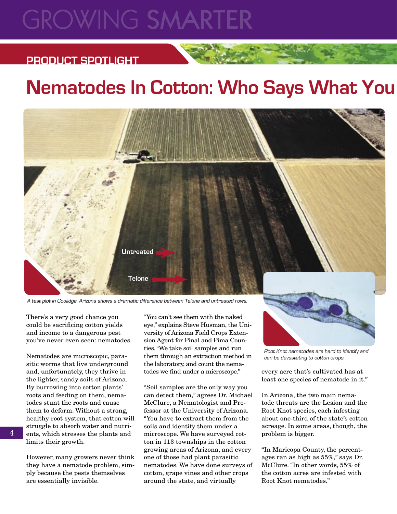# **GROWING SMARTER**

# **PRODUCT SPOTLIGHT**

# **Nematodes In Cotton: Who Says What You**



A test plot in Coolidge, Arizona shows a dramatic difference between Telone and untreated rows.

There's a very good chance you could be sacrificing cotton yields and income to a dangerous pest you've never even seen: nematodes.

Nematodes are microscopic, parasitic worms that live underground and, unfortunately, they thrive in the lighter, sandy soils of Arizona. By burrowing into cotton plants' roots and feeding on them, nematodes stunt the roots and cause them to deform. Without a strong, healthy root system, that cotton will struggle to absorb water and nutrients, which stresses the plants and limits their growth.

However, many growers never think they have a nematode problem, simply because the pests themselves are essentially invisible.

"You can't see them with the naked eye," explains Steve Husman, the University of Arizona Field Crops Extension Agent for Pinal and Pima Counties. "We take soil samples and run them through an extraction method in the laboratory, and count the nematodes we find under a microscope."

"Soil samples are the only way you can detect them," agrees Dr. Michael McClure, a Nematologist and Professor at the University of Arizona. "You have to extract them from the soils and identify them under a microscope. We have surveyed cotton in 113 townships in the cotton growing areas of Arizona, and every one of those had plant parasitic nematodes. We have done surveys of cotton, grape vines and other crops around the state, and virtually



Root Knot nematodes are hard to identify and can be devastating to cotton crops.

every acre that's cultivated has at least one species of nematode in it."

In Arizona, the two main nematode threats are the Lesion and the Root Knot species, each infesting about one-third of the state's cotton acreage. In some areas, though, the problem is bigger.

"In Maricopa County, the percentages ran as high as 55%," says Dr. McClure. "In other words, 55% of the cotton acres are infested with Root Knot nematodes."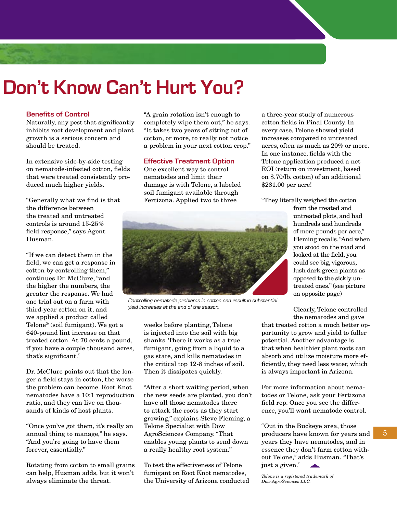# **Don't Know Can't Hurt You?**

#### **Benefits of Control**

Naturally, any pest that significantly inhibits root development and plant growth is a serious concern and should be treated.

In extensive side-by-side testing on nematode-infested cotton, fields that were treated consistently produced much higher yields.

"Generally what we find is that the difference between the treated and untreated controls is around 15-25% field response," says Agent Husman.

"If we can detect them in the field, we can get a response in cotton by controlling them," continues Dr. McClure, "and the higher the numbers, the greater the response. We had one trial out on a farm with third-year cotton on it, and we applied a product called Telone® (soil fumigant). We got a 640-pound lint increase on that treated cotton. At 70 cents a pound, if you have a couple thousand acres, that's significant."

Dr. McClure points out that the longer a field stays in cotton, the worse the problem can become. Root Knot nematodes have a 10:1 reproduction ratio, and they can live on thousands of kinds of host plants.

"Once you've got them, it's really an annual thing to manage," he says. "And you're going to have them forever, essentially."

Rotating from cotton to small grains can help, Husman adds, but it won't always eliminate the threat.

"A grain rotation isn't enough to completely wipe them out," he says. "It takes two years of sitting out of cotton, or more, to really not notice a problem in your next cotton crop."

#### **Effective Treatment Option**

One excellent way to control nematodes and limit their damage is with Telone, a labeled soil fumigant available through Fertizona. Applied two to three

a three-year study of numerous cotton fields in Pinal County. In every case, Telone showed yield increases compared to untreated acres, often as much as 20% or more. In one instance, fields with the Telone application produced a net ROI (return on investment, based on \$.70/lb. cotton) of an additional \$281.00 per acre!

"They literally weighed the cotton



Controlling nematode problems in cotton can result in substantial yield increases at the end of the season.

weeks before planting, Telone is injected into the soil with big shanks. There it works as a true fumigant, going from a liquid to a gas state, and kills nematodes in the critical top 12-8 inches of soil. Then it dissipates quickly.

"After a short waiting period, when the new seeds are planted, you don't have all those nematodes there to attack the roots as they start growing," explains Steve Fleming, a Telone Specialist with Dow AgroSciences Company. "That enables young plants to send down a really healthy root system."

To test the effectiveness of Telone fumigant on Root Knot nematodes, the University of Arizona conducted from the treated and untreated plots, and had hundreds and hundreds of more pounds per acre," Fleming recalls. "And when you stood on the road and looked at the field, you could see big, vigorous, lush dark green plants as opposed to the sickly untreated ones." (see picture on opposite page)

Clearly, Telone controlled the nematodes and gave

that treated cotton a much better opportunity to grow and yield to fuller potential. Another advantage is that when healthier plant roots can absorb and utilize moisture more efficiently, they need less water, which is always important in Arizona.

For more information about nematodes or Telone, ask your Fertizona field rep. Once you see the difference, you'll want nematode control.

"Out in the Buckeye area, those producers have known for years and years they have nematodes, and in essence they don't farm cotton without Telone," adds Husman. "That's just a given."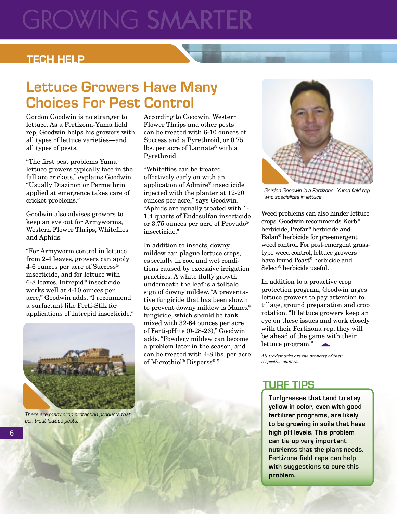# **GROWING SMARTE**

## **TECH HELP**

# **Lettuce Growers Have Many Choices For Pest Control**

Gordon Goodwin is no stranger to lettuce. As a Fertizona-Yuma field rep, Goodwin helps his growers with all types of lettuce varieties—and all types of pests.

"The first pest problems Yuma lettuce growers typically face in the fall are crickets," explains Goodwin. "Usually Diazinon or Permethrin applied at emergence takes care of cricket problems."

Goodwin also advises growers to keep an eye out for Armyworms, Western Flower Thrips, Whiteflies and Aphids.

"For Armyworm control in lettuce from 2-4 leaves, growers can apply 4-6 ounces per acre of Success® insecticide, and for lettuce with 6-8 leaves, Intrepid® insecticide works well at 4-10 ounces per acre," Goodwin adds. "I recommend a surfactant like Ferti-Stik for applications of Intrepid insecticide."



There are many crop protection products that can treat lettuce pests.

According to Goodwin, Western Flower Thrips and other pests can be treated with 6-10 ounces of Success and a Pyrethroid, or 0.75 lbs. per acre of Lannate® with a Pyrethroid.

"Whiteflies can be treated effectively early on with an application of Admire® insecticide injected with the planter at 12-20 ounces per acre," says Goodwin. "Aphids are usually treated with 1- 1.4 quarts of Endosulfan insecticide or 3.75 ounces per acre of Provado® insecticide."

In addition to insects, downy mildew can plague lettuce crops, especially in cool and wet conditions caused by excessive irrigation practices. A white fluffy growth underneath the leaf is a telltale sign of downy mildew. "A preventative fungicide that has been shown to prevent downy mildew is Manex® fungicide, which should be tank mixed with 32-64 ounces per acre of Ferti-pHite (0-28-26)," Goodwin adds. "Powdery mildew can become a problem later in the season, and can be treated with 4-8 lbs. per acre of Microthiol® Disperss®."



Gordon Goodwin is a Fertizona–Yuma field rep who specializes in lettuce.

Weed problems can also hinder lettuce crops. Goodwin recommends Kerb® herbicide, Prefar® herbicide and Balan® herbicide for pre-emergent weed control. For post-emergent grasstype weed control, lettuce growers have found Poast® herbicide and Select® herbicide useful.

In addition to a proactive crop protection program, Goodwin urges lettuce growers to pay attention to tillage, ground preparation and crop rotation. "If lettuce growers keep an eye on these issues and work closely with their Fertizona rep, they will be ahead of the game with their lettuce program."

*All trademarks are the property of their respective owners.*

# **TURF TIPS**

**Turfgrasses that tend to stay yellow in color, even with good fertilizer programs, are likely to be growing in soils that have high pH levels. This problem can tie up very important nutrients that the plant needs. Fertizona field reps can help with suggestions to cure this problem.**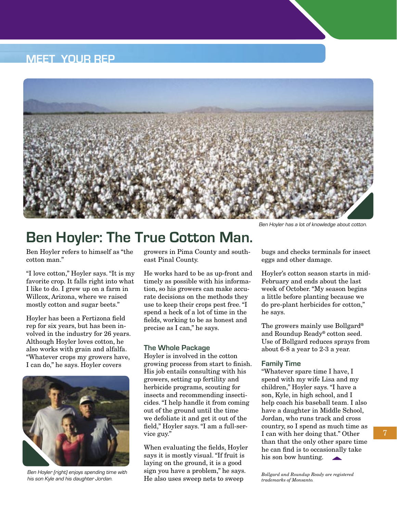# **MEET YOUR REP**



# **Ben Hoyler: The True Cotton Man.**

Ben Hoyler refers to himself as "the cotton man."

"I love cotton," Hoyler says. "It is my favorite crop. It falls right into what I like to do. I grew up on a farm in Willcox, Arizona, where we raised mostly cotton and sugar beets."

Hoyler has been a Fertizona field rep for six years, but has been involved in the industry for 26 years. Although Hoyler loves cotton, he also works with grain and alfalfa. "Whatever crops my growers have, I can do," he says. Hoyler covers



Ben Hoyler (right) enjoys spending time with his son Kyle and his daughter Jordan.

growers in Pima County and southeast Pinal County.

He works hard to be as up-front and timely as possible with his information, so his growers can make accurate decisions on the methods they use to keep their crops pest free. "I spend a heck of a lot of time in the fields, working to be as honest and precise as I can," he says.

#### **The Whole Package**

Hoyler is involved in the cotton growing process from start to finish. His job entails consulting with his growers, setting up fertility and herbicide programs, scouting for insects and recommending insecticides. "I help handle it from coming out of the ground until the time we defoliate it and get it out of the field," Hoyler says. "I am a full-service guy."

When evaluating the fields, Hoyler says it is mostly visual. "If fruit is laying on the ground, it is a good sign you have a problem," he says. He also uses sweep nets to sweep

Ben Hoyler has a lot of knowledge about cotton.

bugs and checks terminals for insect eggs and other damage.

Hoyler's cotton season starts in mid-February and ends about the last week of October. "My season begins a little before planting because we do pre-plant herbicides for cotton," he says.

The growers mainly use Bollgard® and Roundup Ready® cotton seed. Use of Bollgard reduces sprays from about 6-8 a year to 2-3 a year.

#### **Family Time**

"Whatever spare time I have, I spend with my wife Lisa and my children," Hoyler says. "I have a son, Kyle, in high school, and I help coach his baseball team. I also have a daughter in Middle School, Jordan, who runs track and cross country, so I spend as much time as I can with her doing that." Other than that the only other spare time he can find is to occasionally take his son bow hunting.

*Bollgard and Roundup Ready are registered trademarks of Monsanto.*